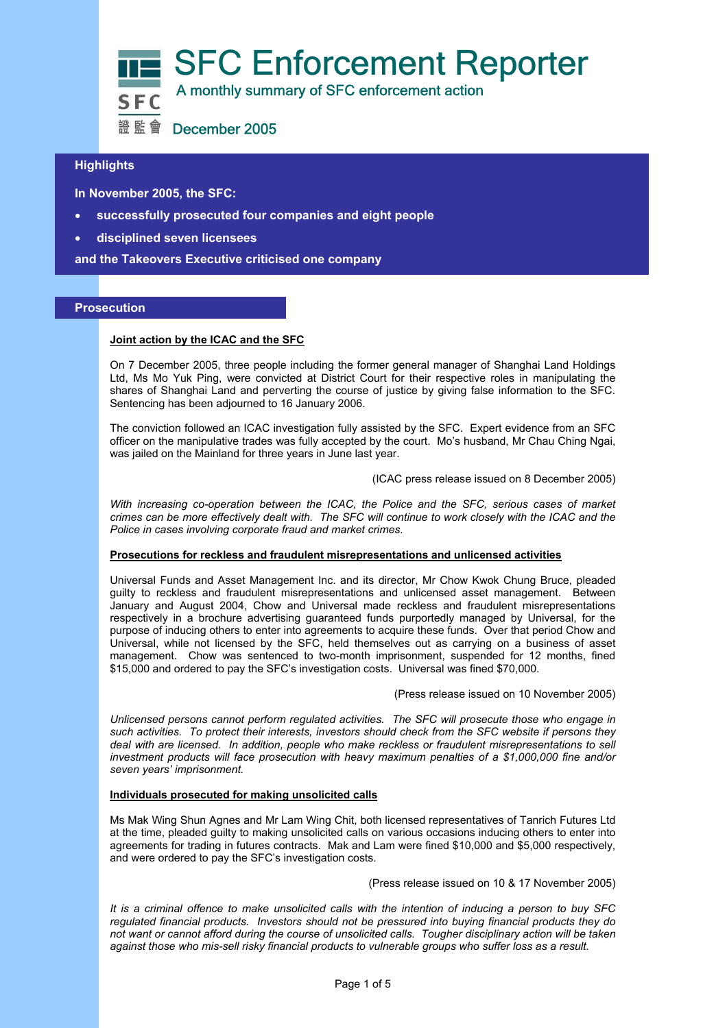

# **Highlights**

 **In November 2005, the SFC:** 

- l • **successfully prosecuted four companies and eight people**
- **disciplined seven licensees**

**and the Takeovers Executive criticised one company** 

#### **Prosecution**

#### **Joint action by the ICAC and the SFC**

On 7 December 2005, three people including the former general manager of Shanghai Land Holdings Ltd, Ms Mo Yuk Ping, were convicted at District Court for their respective roles in manipulating the shares of Shanghai Land and perverting the course of justice by giving false information to the SFC. Sentencing has been adjourned to 16 January 2006.

The conviction followed an ICAC investigation fully assisted by the SFC. Expert evidence from an SFC officer on the manipulative trades was fully accepted by the court. Mo's husband, Mr Chau Ching Ngai, was jailed on the Mainland for three years in June last year.

#### (ICAC press release issued on 8 December 2005)

*With increasing co-operation between the ICAC, the Police and the SFC, serious cases of market crimes can be more effectively dealt with. The SFC will continue to work closely with the ICAC and the Police in cases involving corporate fraud and market crimes.* 

#### **Prosecutions for reckless and fraudulent misrepresentations and unlicensed activities**

Universal Funds and Asset Management Inc. and its director, Mr Chow Kwok Chung Bruce, pleaded guilty to reckless and fraudulent misrepresentations and unlicensed asset management. Between January and August 2004, Chow and Universal made reckless and fraudulent misrepresentations respectively in a brochure advertising guaranteed funds purportedly managed by Universal, for the purpose of inducing others to enter into agreements to acquire these funds. Over that period Chow and Universal, while not licensed by the SFC, held themselves out as carrying on a business of asset management. Chow was sentenced to two-month imprisonment, suspended for 12 months, fined \$15,000 and ordered to pay the SFC's investigation costs. Universal was fined \$70,000.

(Press release issued on 10 November 2005)

*Unlicensed persons cannot perform regulated activities. The SFC will prosecute those who engage in such activities. To protect their interests, investors should check from the SFC website if persons they deal with are licensed. In addition, people who make reckless or fraudulent misrepresentations to sell investment products will face prosecution with heavy maximum penalties of a \$1,000,000 fine and/or seven years' imprisonment.* 

## **Individuals prosecuted for making unsolicited calls**

Ms Mak Wing Shun Agnes and Mr Lam Wing Chit, both licensed representatives of Tanrich Futures Ltd at the time, pleaded guilty to making unsolicited calls on various occasions inducing others to enter into agreements for trading in futures contracts. Mak and Lam were fined \$10,000 and \$5,000 respectively, and were ordered to pay the SFC's investigation costs.

(Press release issued on 10 & 17 November 2005)

*It is a criminal offence to make unsolicited calls with the intention of inducing a person to buy SFC regulated financial products. Investors should not be pressured into buying financial products they do not want or cannot afford during the course of unsolicited calls. Tougher disciplinary action will be taken against those who mis-sell risky financial products to vulnerable groups who suffer loss as a result.*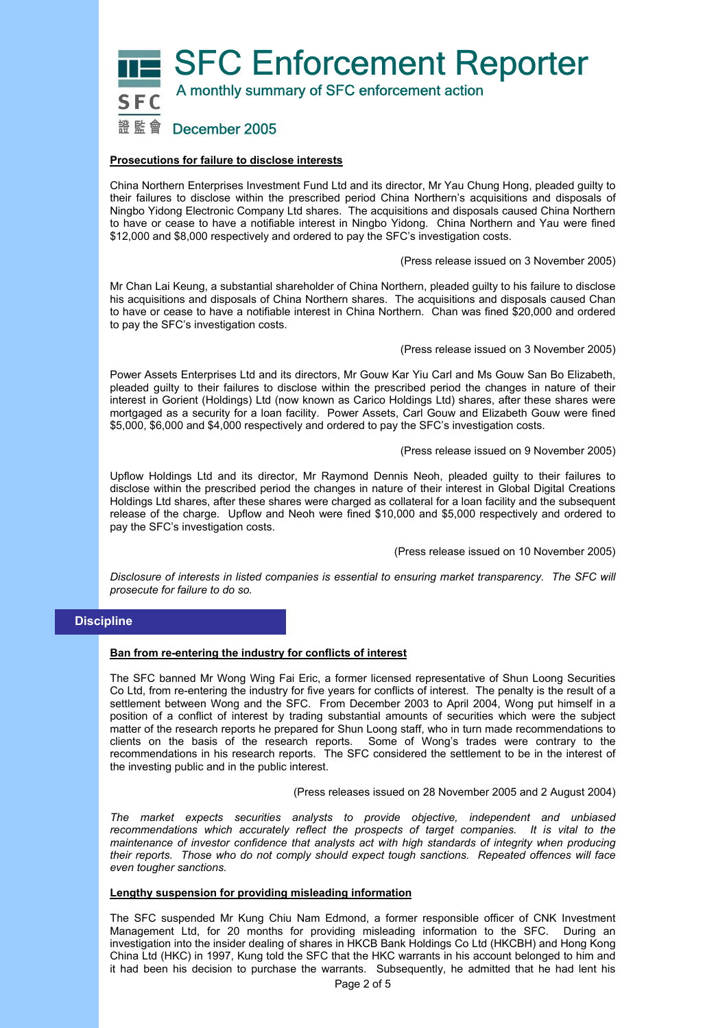**SFC Enforcement Reporter** 



A monthly summary of SFC enforcement action

# 證監會 December 2005

### **Prosecutions for failure to disclose interests**

China Northern Enterprises Investment Fund Ltd and its director, Mr Yau Chung Hong, pleaded guilty to their failures to disclose within the prescribed period China Northern's acquisitions and disposals of Ningbo Yidong Electronic Company Ltd shares. The acquisitions and disposals caused China Northern to have or cease to have a notifiable interest in Ningbo Yidong. China Northern and Yau were fined \$12,000 and \$8,000 respectively and ordered to pay the SFC's investigation costs.

#### (Press release issued on 3 November 2005)

Mr Chan Lai Keung, a substantial shareholder of China Northern, pleaded guilty to his failure to disclose his acquisitions and disposals of China Northern shares. The acquisitions and disposals caused Chan to have or cease to have a notifiable interest in China Northern. Chan was fined \$20,000 and ordered to pay the SFC's investigation costs.

(Press release issued on 3 November 2005)

Power Assets Enterprises Ltd and its directors, Mr Gouw Kar Yiu Carl and Ms Gouw San Bo Elizabeth, pleaded guilty to their failures to disclose within the prescribed period the changes in nature of their interest in Gorient (Holdings) Ltd (now known as Carico Holdings Ltd) shares, after these shares were mortgaged as a security for a loan facility. Power Assets, Carl Gouw and Elizabeth Gouw were fined \$5,000, \$6,000 and \$4,000 respectively and ordered to pay the SFC's investigation costs.

#### (Press release issued on 9 November 2005)

Upflow Holdings Ltd and its director, Mr Raymond Dennis Neoh, pleaded guilty to their failures to disclose within the prescribed period the changes in nature of their interest in Global Digital Creations Holdings Ltd shares, after these shares were charged as collateral for a loan facility and the subsequent release of the charge. Upflow and Neoh were fined \$10,000 and \$5,000 respectively and ordered to pay the SFC's investigation costs.

(Press release issued on 10 November 2005)

*Disclosure of interests in listed companies is essential to ensuring market transparency. The SFC will prosecute for failure to do so.* 

# **Discipline**

#### **Ban from re-entering the industry for conflicts of interest**

The SFC banned Mr Wong Wing Fai Eric, a former licensed representative of Shun Loong Securities Co Ltd, from re-entering the industry for five years for conflicts of interest. The penalty is the result of a settlement between Wong and the SFC. From December 2003 to April 2004, Wong put himself in a position of a conflict of interest by trading substantial amounts of securities which were the subject matter of the research reports he prepared for Shun Loong staff, who in turn made recommendations to clients on the basis of the research reports. Some of Wong's trades were contrary to the recommendations in his research reports. The SFC considered the settlement to be in the interest of the investing public and in the public interest.

(Press releases issued on 28 November 2005 and 2 August 2004)

*The market expects securities analysts to provide objective, independent and unbiased recommendations which accurately reflect the prospects of target companies. It is vital to the maintenance of investor confidence that analysts act with high standards of integrity when producing their reports. Those who do not comply should expect tough sanctions. Repeated offences will face even tougher sanctions.* 

#### **Lengthy suspension for providing misleading information**

The SFC suspended Mr Kung Chiu Nam Edmond, a former responsible officer of CNK Investment Management Ltd, for 20 months for providing misleading information to the SFC. During an investigation into the insider dealing of shares in HKCB Bank Holdings Co Ltd (HKCBH) and Hong Kong China Ltd (HKC) in 1997, Kung told the SFC that the HKC warrants in his account belonged to him and it had been his decision to purchase the warrants. Subsequently, he admitted that he had lent his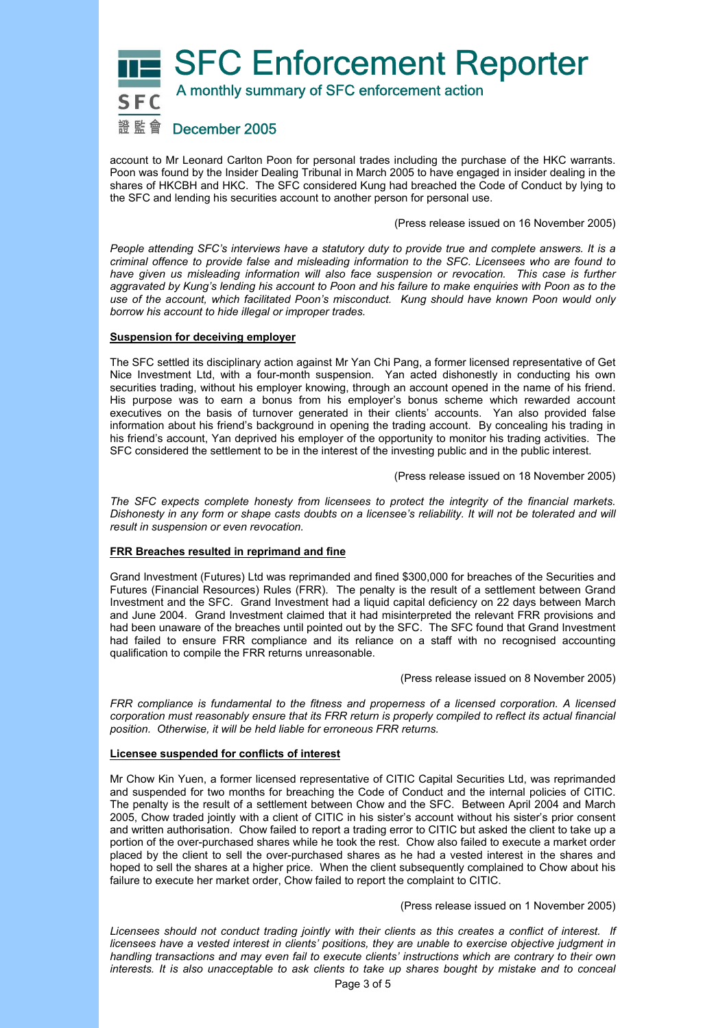**SFC Enforcement Reporter** 

A monthly summary of SFC enforcement action

# 證 監 會 December 2005

account to Mr Leonard Carlton Poon for personal trades including the purchase of the HKC warrants. Poon was found by the Insider Dealing Tribunal in March 2005 to have engaged in insider dealing in the shares of HKCBH and HKC. The SFC considered Kung had breached the Code of Conduct by lying to the SFC and lending his securities account to another person for personal use.

(Press release issued on 16 November 2005)

*People attending SFC's interviews have a statutory duty to provide true and complete answers. It is a criminal offence to provide false and misleading information to the SFC. Licensees who are found to*  have given us misleading information will also face suspension or revocation. This case is further *aggravated by Kung's lending his account to Poon and his failure to make enquiries with Poon as to the use of the account, which facilitated Poon's misconduct. Kung should have known Poon would only borrow his account to hide illegal or improper trades.* 

### **Suspension for deceiving employer**

The SFC settled its disciplinary action against Mr Yan Chi Pang, a former licensed representative of Get Nice Investment Ltd, with a four-month suspension. Yan acted dishonestly in conducting his own securities trading, without his employer knowing, through an account opened in the name of his friend. His purpose was to earn a bonus from his employer's bonus scheme which rewarded account executives on the basis of turnover generated in their clients' accounts. Yan also provided false information about his friend's background in opening the trading account. By concealing his trading in his friend's account, Yan deprived his employer of the opportunity to monitor his trading activities. The SFC considered the settlement to be in the interest of the investing public and in the public interest.

(Press release issued on 18 November 2005)

*The SFC expects complete honesty from licensees to protect the integrity of the financial markets.*  Dishonesty in any form or shape casts doubts on a licensee's reliability. It will not be tolerated and will *result in suspension or even revocation.* 

#### **FRR Breaches resulted in reprimand and fine**

Grand Investment (Futures) Ltd was reprimanded and fined \$300,000 for breaches of the Securities and Futures (Financial Resources) Rules (FRR). The penalty is the result of a settlement between Grand Investment and the SFC. Grand Investment had a liquid capital deficiency on 22 days between March and June 2004. Grand Investment claimed that it had misinterpreted the relevant FRR provisions and had been unaware of the breaches until pointed out by the SFC. The SFC found that Grand Investment had failed to ensure FRR compliance and its reliance on a staff with no recognised accounting qualification to compile the FRR returns unreasonable.

(Press release issued on 8 November 2005)

*FRR compliance is fundamental to the fitness and properness of a licensed corporation. A licensed corporation must reasonably ensure that its FRR return is properly compiled to reflect its actual financial position. Otherwise, it will be held liable for erroneous FRR returns.* 

#### **Licensee suspended for conflicts of interest**

Mr Chow Kin Yuen, a former licensed representative of CITIC Capital Securities Ltd, was reprimanded and suspended for two months for breaching the Code of Conduct and the internal policies of CITIC. The penalty is the result of a settlement between Chow and the SFC. Between April 2004 and March 2005, Chow traded jointly with a client of CITIC in his sister's account without his sister's prior consent and written authorisation. Chow failed to report a trading error to CITIC but asked the client to take up a portion of the over-purchased shares while he took the rest. Chow also failed to execute a market order placed by the client to sell the over-purchased shares as he had a vested interest in the shares and hoped to sell the shares at a higher price. When the client subsequently complained to Chow about his failure to execute her market order, Chow failed to report the complaint to CITIC.

(Press release issued on 1 November 2005)

*Licensees should not conduct trading jointly with their clients as this creates a conflict of interest. If licensees have a vested interest in clients' positions, they are unable to exercise objective judgment in handling transactions and may even fail to execute clients' instructions which are contrary to their own interests. It is also unacceptable to ask clients to take up shares bought by mistake and to conceal*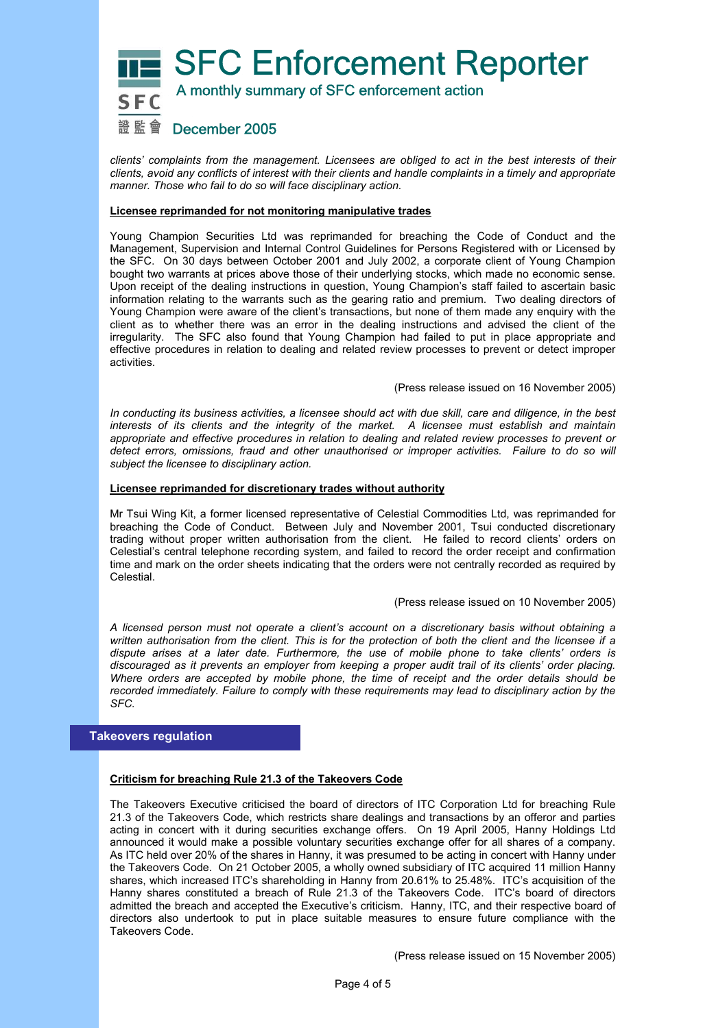

*clients' complaints from the management. Licensees are obliged to act in the best interests of their clients, avoid any conflicts of interest with their clients and handle complaints in a timely and appropriate manner. Those who fail to do so will face disciplinary action.* 

#### **Licensee reprimanded for not monitoring manipulative trades**

Young Champion Securities Ltd was reprimanded for breaching the Code of Conduct and the Management, Supervision and Internal Control Guidelines for Persons Registered with or Licensed by the SFC. On 30 days between October 2001 and July 2002, a corporate client of Young Champion bought two warrants at prices above those of their underlying stocks, which made no economic sense. Upon receipt of the dealing instructions in question, Young Champion's staff failed to ascertain basic information relating to the warrants such as the gearing ratio and premium. Two dealing directors of Young Champion were aware of the client's transactions, but none of them made any enquiry with the client as to whether there was an error in the dealing instructions and advised the client of the irregularity. The SFC also found that Young Champion had failed to put in place appropriate and effective procedures in relation to dealing and related review processes to prevent or detect improper activities.

(Press release issued on 16 November 2005)

*In conducting its business activities, a licensee should act with due skill, care and diligence, in the best interests of its clients and the integrity of the market. A licensee must establish and maintain appropriate and effective procedures in relation to dealing and related review processes to prevent or detect errors, omissions, fraud and other unauthorised or improper activities. Failure to do so will subject the licensee to disciplinary action.*

#### **Licensee reprimanded for discretionary trades without authority**

Mr Tsui Wing Kit, a former licensed representative of Celestial Commodities Ltd, was reprimanded for breaching the Code of Conduct. Between July and November 2001, Tsui conducted discretionary trading without proper written authorisation from the client. He failed to record clients' orders on Celestial's central telephone recording system, and failed to record the order receipt and confirmation time and mark on the order sheets indicating that the orders were not centrally recorded as required by Celestial.

#### (Press release issued on 10 November 2005)

*A licensed person must not operate a client's account on a discretionary basis without obtaining a written authorisation from the client. This is for the protection of both the client and the licensee if a dispute arises at a later date. Furthermore, the use of mobile phone to take clients' orders is discouraged as it prevents an employer from keeping a proper audit trail of its clients' order placing. Where orders are accepted by mobile phone, the time of receipt and the order details should be recorded immediately. Failure to comply with these requirements may lead to disciplinary action by the SFC.* 

#### **Takeovers regulation**

### **Criticism for breaching Rule 21.3 of the Takeovers Code**

The Takeovers Executive criticised the board of directors of ITC Corporation Ltd for breaching Rule 21.3 of the Takeovers Code, which restricts share dealings and transactions by an offeror and parties acting in concert with it during securities exchange offers. On 19 April 2005, Hanny Holdings Ltd announced it would make a possible voluntary securities exchange offer for all shares of a company. As ITC held over 20% of the shares in Hanny, it was presumed to be acting in concert with Hanny under the Takeovers Code. On 21 October 2005, a wholly owned subsidiary of ITC acquired 11 million Hanny shares, which increased ITC's shareholding in Hanny from 20.61% to 25.48%. ITC's acquisition of the Hanny shares constituted a breach of Rule 21.3 of the Takeovers Code. ITC's board of directors admitted the breach and accepted the Executive's criticism. Hanny, ITC, and their respective board of directors also undertook to put in place suitable measures to ensure future compliance with the Takeovers Code.